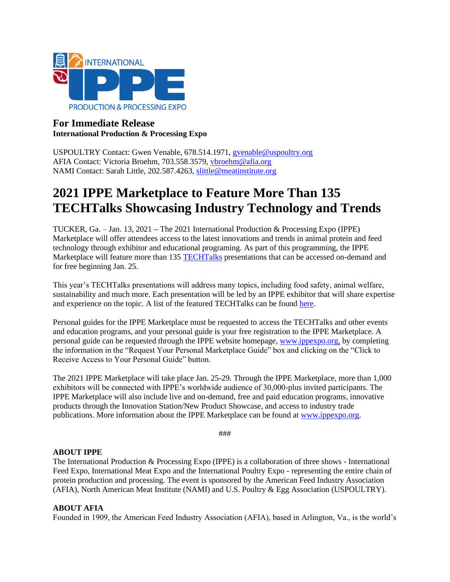

# **For Immediate Release International Production & Processing Expo**

USPOULTRY Contact: Gwen Venable, 678.514.1971, [gvenable@uspoultry.org](mailto:gvenable@uspoultry.org)  AFIA Contact: Victoria Broehm, 703.558.3579, [vbroehm@afia.org](mailto:ldotterweich@afia.org)  NAMI Contact: Sarah Little, 202.587.4263, [slittle@meatinstitute.org](mailto:slittle@meatinstitute.org)

# **2021 IPPE Marketplace to Feature More Than 135 TECHTalks Showcasing Industry Technology and Trends**

TUCKER, Ga. – Jan. 13, 2021 **–** The 2021 International Production & Processing Expo (IPPE) Marketplace will offer attendees access to the latest innovations and trends in animal protein and feed technology through exhibitor and educational programing. As part of this programming, the IPPE Marketplace will feature more than 135 [TECHTalks](https://www.ippexpo.org/marketplace/TECHtalks/) presentations that can be accessed on-demand and for free beginning Jan. 25.

This year's TECHTalks presentations will address many topics, including food safety, animal welfare, sustainability and much more. Each presentation will be led by an IPPE exhibitor that will share expertise and experience on the topic. A list of the featured TECHTalks can be found [here.](https://www.ippexpo.org/marketplace/TECHtalks/docs/2021-TECHTalks.pdf)

Personal guides for the IPPE Marketplace must be requested to access the TECHTalks and other events and education programs, and your personal guide is your free registration to the IPPE Marketplace. A personal guide can be requested through the IPPE website homepage, [www.ippexpo.org,](http://www.ippexpo.org/) by completing the information in the "Request Your Personal Marketplace Guide" box and clicking on the "Click to Receive Access to Your Personal Guide" button.

The 2021 IPPE Marketplace will take place Jan. 25-29. Through the IPPE Marketplace, more than 1,000 exhibitors will be connected with IPPE's worldwide audience of 30,000-plus invited participants. The IPPE Marketplace will also include live and on-demand, free and paid education programs, innovative products through the Innovation Station/New Product Showcase, and access to industry trade publications. More information about the IPPE Marketplace can be found at [www.ippexpo.org.](http://www.ippexpo.org/)

###

## **ABOUT IPPE**

The International Production & Processing Expo (IPPE) is a collaboration of three shows - International Feed Expo, International Meat Expo and the International Poultry Expo - representing the entire chain of protein production and processing. The event is sponsored by the American Feed Industry Association (AFIA), North American Meat Institute (NAMI) and U.S. Poultry & Egg Association (USPOULTRY).

#### **ABOUT AFIA**

Founded in 1909, the American Feed Industry Association (AFIA), based in Arlington, Va., is the world's